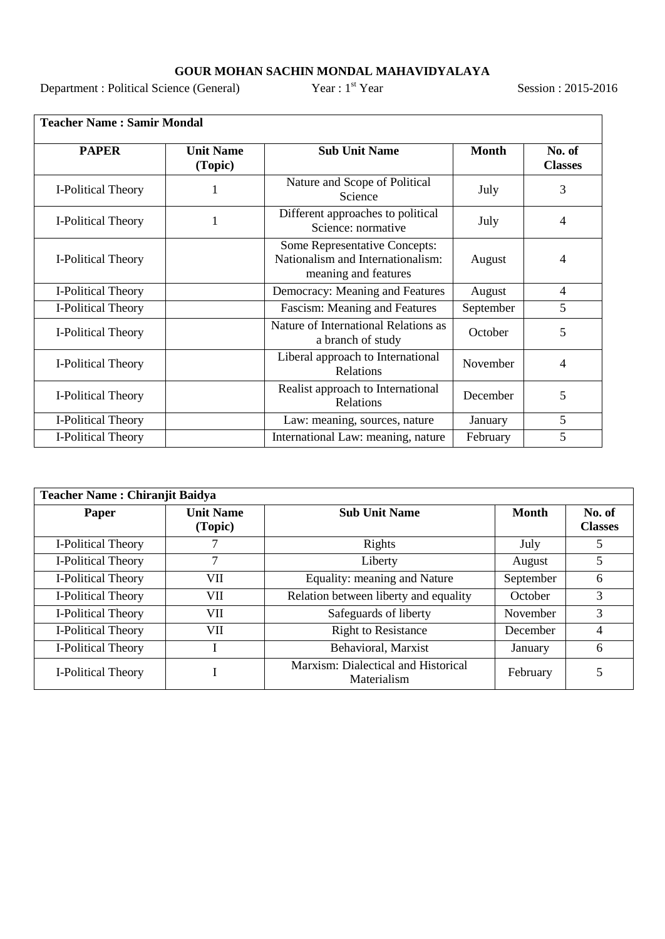## **GOUR MOHAN SACHIN MONDAL MAHAVIDYALAYA**<br>rnce (General) Year : 1<sup>st</sup> Year

Department : Political Science (General) Year : 1<sup>st</sup> Year Session : 2015-2016

| <b>PAPER</b>       | <b>Unit Name</b><br>(Topic) | <b>Sub Unit Name</b>                                                                              | <b>Month</b> | No. of<br><b>Classes</b> |
|--------------------|-----------------------------|---------------------------------------------------------------------------------------------------|--------------|--------------------------|
| I-Political Theory |                             | Nature and Scope of Political<br>July<br>Science                                                  |              | 3                        |
| I-Political Theory | 1                           | Different approaches to political<br>July<br>Science: normative                                   |              | 4                        |
| I-Political Theory |                             | <b>Some Representative Concepts:</b><br>Nationalism and Internationalism:<br>meaning and features |              | 4                        |
| I-Political Theory |                             | Democracy: Meaning and Features                                                                   | August       | $\overline{4}$           |
| I-Political Theory |                             | Fascism: Meaning and Features                                                                     | September    | 5                        |
| I-Political Theory |                             | Nature of International Relations as<br>a branch of study                                         | October      | 5                        |
| I-Political Theory |                             | Liberal approach to International<br>Relations                                                    | November     | 4                        |
| I-Political Theory |                             | Realist approach to International<br>Relations                                                    | December     | 5                        |
| I-Political Theory |                             | Law: meaning, sources, nature                                                                     | January      | 5                        |
| I-Political Theory |                             | International Law: meaning, nature                                                                | February     | 5                        |

| <b>Teacher Name: Chiranjit Baidya</b> |                             |                                                    |              |                          |  |
|---------------------------------------|-----------------------------|----------------------------------------------------|--------------|--------------------------|--|
| Paper                                 | <b>Unit Name</b><br>(Topic) | <b>Sub Unit Name</b>                               | <b>Month</b> | No. of<br><b>Classes</b> |  |
| I-Political Theory                    |                             | Rights                                             | July         | 5                        |  |
| I-Political Theory                    | 7                           | Liberty                                            | August       | 5                        |  |
| I-Political Theory                    | VП                          | Equality: meaning and Nature                       | September    | 6                        |  |
| I-Political Theory                    | VII                         | Relation between liberty and equality              | October      | 3                        |  |
| I-Political Theory                    | VII                         | Safeguards of liberty                              | November     | 3                        |  |
| I-Political Theory                    | VII                         | <b>Right to Resistance</b>                         | December     | 4                        |  |
| I-Political Theory                    |                             | Behavioral, Marxist                                | January      | 6                        |  |
| I-Political Theory                    |                             | Marxism: Dialectical and Historical<br>Materialism | February     | 5                        |  |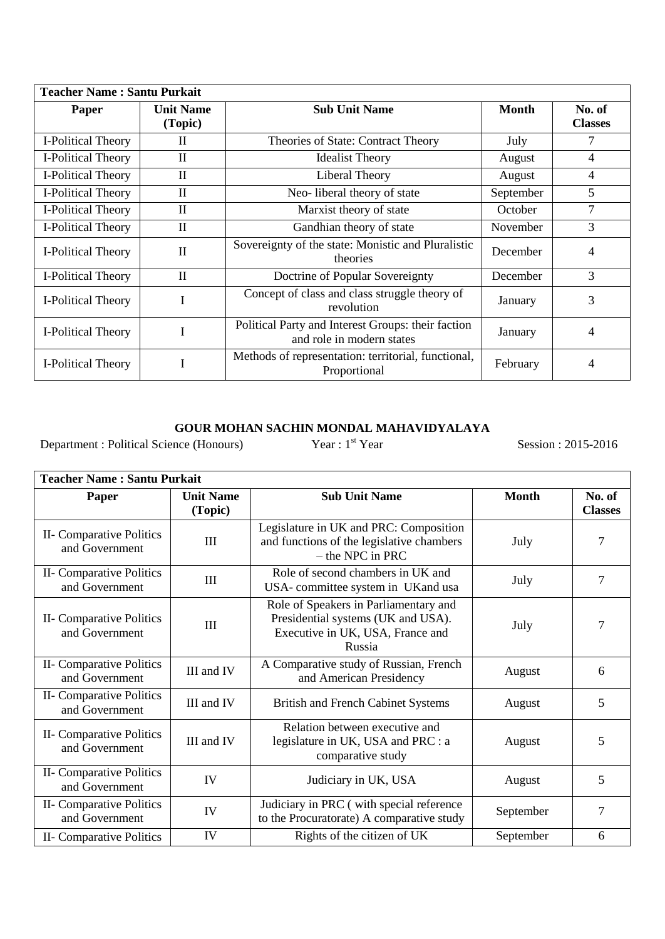| <b>Teacher Name: Santu Purkait</b> |                             |                                                                                 |              |                          |  |  |
|------------------------------------|-----------------------------|---------------------------------------------------------------------------------|--------------|--------------------------|--|--|
| Paper                              | <b>Unit Name</b><br>(Topic) | <b>Sub Unit Name</b>                                                            | <b>Month</b> | No. of<br><b>Classes</b> |  |  |
| I-Political Theory                 | $\mathbf{I}$                | Theories of State: Contract Theory                                              | July         | 7                        |  |  |
| I-Political Theory                 | $\mathbf{I}$                | <b>Idealist Theory</b>                                                          | August       | $\overline{4}$           |  |  |
| I-Political Theory                 | $\mathbf{I}$                | Liberal Theory                                                                  | August       | 4                        |  |  |
| I-Political Theory                 | $\mathbf{I}$                | Neo-liberal theory of state                                                     | September    | $\overline{5}$           |  |  |
| I-Political Theory                 | $\mathbf{I}$                | Marxist theory of state                                                         | October      | 7                        |  |  |
| I-Political Theory                 | $\mathbf{I}$                | Gandhian theory of state                                                        | November     | 3                        |  |  |
| I-Political Theory                 | $\mathbf{I}$                | Sovereignty of the state: Monistic and Pluralistic<br>theories                  | December     | 4                        |  |  |
| I-Political Theory                 | $\mathbf{I}$                | Doctrine of Popular Sovereignty                                                 | December     | 3                        |  |  |
| I-Political Theory                 |                             | Concept of class and class struggle theory of<br>revolution                     | January      | 3                        |  |  |
| <b>I-Political Theory</b>          |                             | Political Party and Interest Groups: their faction<br>and role in modern states | January      | 4                        |  |  |
| I-Political Theory                 |                             | Methods of representation: territorial, functional,<br>Proportional             | February     | 4                        |  |  |

## **GOUR MOHAN SACHIN MONDAL MAHAVIDYALAYA**<br>rnce (Honours) Year : 1<sup>st</sup> Year

Department : Political Science (Honours) Year : 1<sup>st</sup> Year Session : 2015-2016

ŗ

| <b>Teacher Name: Santu Purkait</b>         |                             |                                                                                                                           |              |                          |  |  |
|--------------------------------------------|-----------------------------|---------------------------------------------------------------------------------------------------------------------------|--------------|--------------------------|--|--|
| Paper                                      | <b>Unit Name</b><br>(Topic) | <b>Sub Unit Name</b>                                                                                                      | <b>Month</b> | No. of<br><b>Classes</b> |  |  |
| II- Comparative Politics<br>and Government | III                         | Legislature in UK and PRC: Composition<br>and functions of the legislative chambers<br>$-$ the NPC in PRC                 | July         | 7                        |  |  |
| II- Comparative Politics<br>and Government | III                         | Role of second chambers in UK and<br>USA-committee system in UKand usa                                                    | July         | 7                        |  |  |
| II- Comparative Politics<br>and Government | Ш                           | Role of Speakers in Parliamentary and<br>Presidential systems (UK and USA).<br>Executive in UK, USA, France and<br>Russia | July         | 7                        |  |  |
| II- Comparative Politics<br>and Government | III and IV                  | A Comparative study of Russian, French<br>and American Presidency                                                         | August       | 6                        |  |  |
| II- Comparative Politics<br>and Government | III and IV                  | <b>British and French Cabinet Systems</b>                                                                                 | August       | 5                        |  |  |
| II- Comparative Politics<br>and Government | III and IV                  | Relation between executive and<br>legislature in UK, USA and PRC : a<br>comparative study                                 | August       | 5                        |  |  |
| II- Comparative Politics<br>and Government | IV                          | Judiciary in UK, USA                                                                                                      | August       | 5                        |  |  |
| II- Comparative Politics<br>and Government | IV                          | Judiciary in PRC (with special reference<br>to the Procuratorate) A comparative study                                     | September    | 7                        |  |  |
| II- Comparative Politics                   | IV                          | Rights of the citizen of UK                                                                                               | September    | 6                        |  |  |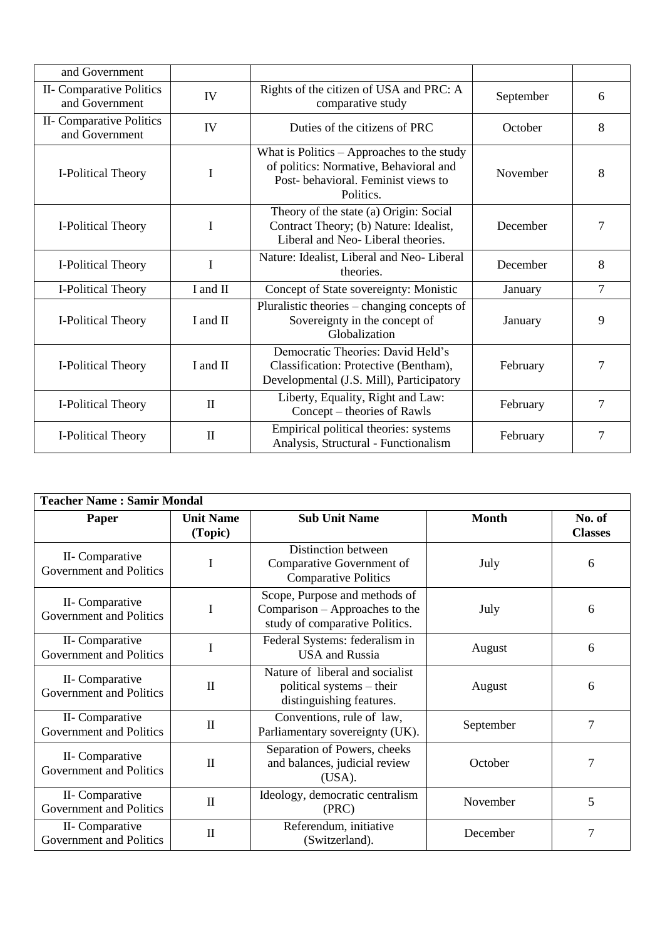| and Government                             |                                                                    |                                                                                                                                                       |           |        |
|--------------------------------------------|--------------------------------------------------------------------|-------------------------------------------------------------------------------------------------------------------------------------------------------|-----------|--------|
| II- Comparative Politics<br>and Government | Rights of the citizen of USA and PRC: A<br>IV<br>comparative study |                                                                                                                                                       | September | 6      |
| II- Comparative Politics<br>and Government | IV                                                                 | Duties of the citizens of PRC                                                                                                                         | October   | 8      |
| I-Political Theory                         | I                                                                  | What is Politics $-$ Approaches to the study<br>of politics: Normative, Behavioral and<br>November<br>Post-behavioral. Feminist views to<br>Politics. |           | 8      |
| I-Political Theory                         | I                                                                  | Theory of the state (a) Origin: Social<br>Contract Theory; (b) Nature: Idealist,<br>Liberal and Neo-Liberal theories.                                 | December  | 7      |
| I-Political Theory                         | I                                                                  | Nature: Idealist, Liberal and Neo-Liberal<br>theories.                                                                                                | December  | 8      |
| I-Political Theory                         | I and II                                                           | Concept of State sovereignty: Monistic                                                                                                                | January   | $\tau$ |
| I-Political Theory                         | I and II                                                           | Pluralistic theories – changing concepts of<br>Sovereignty in the concept of<br>Globalization                                                         | January   | 9      |
| I-Political Theory                         | I and II                                                           | Democratic Theories: David Held's<br>Classification: Protective (Bentham),<br>Developmental (J.S. Mill), Participatory                                | February  | 7      |
| I-Political Theory                         | $\mathbf{I}$                                                       | Liberty, Equality, Right and Law:<br>Concept – theories of Rawls                                                                                      | February  | 7      |
| I-Political Theory                         | $\mathbf{I}$                                                       | Empirical political theories: systems<br>Analysis, Structural - Functionalism                                                                         | February  | 7      |

| <b>Teacher Name: Samir Mondal</b>          |                             |                                                                                                   |              |                          |  |
|--------------------------------------------|-----------------------------|---------------------------------------------------------------------------------------------------|--------------|--------------------------|--|
| <b>Paper</b>                               | <b>Unit Name</b><br>(Topic) | <b>Sub Unit Name</b>                                                                              | <b>Month</b> | No. of<br><b>Classes</b> |  |
| II- Comparative<br>Government and Politics | I                           | Distinction between<br>Comparative Government of<br><b>Comparative Politics</b>                   | July         | 6                        |  |
| II- Comparative<br>Government and Politics | I                           | Scope, Purpose and methods of<br>Comparison – Approaches to the<br>study of comparative Politics. | July         | 6                        |  |
| II- Comparative<br>Government and Politics | I                           | Federal Systems: federalism in<br><b>USA</b> and Russia                                           | August       | 6                        |  |
| II- Comparative<br>Government and Politics | $\mathbf{I}$                | Nature of liberal and socialist<br>political systems – their<br>distinguishing features.          | August       | 6                        |  |
| II- Comparative<br>Government and Politics | $\mathbf{I}$                | Conventions, rule of law,<br>Parliamentary sovereignty (UK).                                      | September    | 7                        |  |
| II- Comparative<br>Government and Politics | $\mathbf{I}$                | Separation of Powers, cheeks<br>and balances, judicial review<br>(USA).                           | October      | 7                        |  |
| II- Comparative<br>Government and Politics | $\mathbf{I}$                | Ideology, democratic centralism<br>(PRC)                                                          | November     | 5                        |  |
| II- Comparative<br>Government and Politics | $\mathbf{I}$                | Referendum, initiative<br>(Switzerland).                                                          | December     | $\overline{7}$           |  |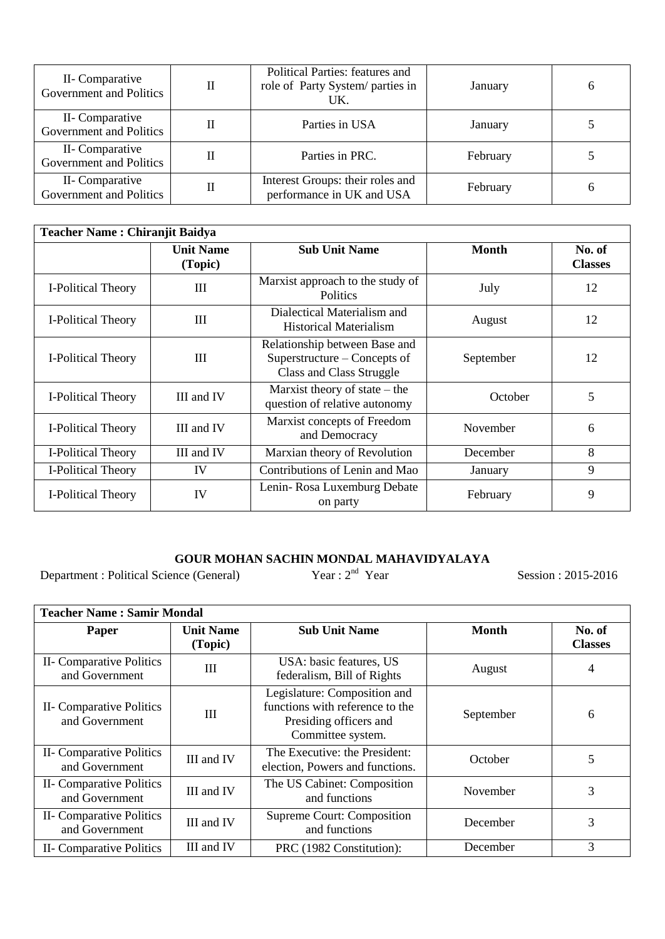| II- Comparative<br>Government and Politics | Political Parties: features and<br>role of Party System/ parties in<br>UK. | January  | 6 |
|--------------------------------------------|----------------------------------------------------------------------------|----------|---|
| II- Comparative<br>Government and Politics | Parties in USA                                                             | January  |   |
| II- Comparative<br>Government and Politics | Parties in PRC.                                                            | February |   |
| II- Comparative<br>Government and Politics | Interest Groups: their roles and<br>performance in UK and USA              | February | h |

| <b>Teacher Name: Chiranjit Baidya</b> |                             |                                                                                           |              |                          |  |  |
|---------------------------------------|-----------------------------|-------------------------------------------------------------------------------------------|--------------|--------------------------|--|--|
|                                       | <b>Unit Name</b><br>(Topic) | <b>Sub Unit Name</b>                                                                      | <b>Month</b> | No. of<br><b>Classes</b> |  |  |
| I-Political Theory                    | III                         | Marxist approach to the study of<br><b>Politics</b>                                       | July         | 12                       |  |  |
| I-Political Theory                    | III                         | Dialectical Materialism and<br>Historical Materialism                                     | August       | 12                       |  |  |
| I-Political Theory                    | III                         | Relationship between Base and<br>Superstructure – Concepts of<br>Class and Class Struggle | September    | 12                       |  |  |
| I-Political Theory                    | III and IV                  | Marxist theory of state $-$ the<br>question of relative autonomy                          | October      | 5                        |  |  |
| I-Political Theory                    | III and IV                  | Marxist concepts of Freedom<br>and Democracy                                              | November     | 6                        |  |  |
| I-Political Theory                    | III and IV                  | Marxian theory of Revolution                                                              | December     | 8                        |  |  |
| I-Political Theory                    | IV                          | Contributions of Lenin and Mao                                                            | January      | 9                        |  |  |
| I-Political Theory                    | IV                          | Lenin-Rosa Luxemburg Debate<br>on party                                                   | February     | 9                        |  |  |

# **GOUR MOHAN SACHIN MONDAL MAHAVIDYALAYA**<br>nce (General) Year : 2<sup>nd</sup> Year

Department : Political Science (General)

Session : 2015-2016

| <b>Teacher Name: Samir Mondal</b>          |                             |                                                                                                                |              |                          |  |
|--------------------------------------------|-----------------------------|----------------------------------------------------------------------------------------------------------------|--------------|--------------------------|--|
| Paper                                      | <b>Unit Name</b><br>(Topic) | <b>Sub Unit Name</b>                                                                                           | <b>Month</b> | No. of<br><b>Classes</b> |  |
| II- Comparative Politics<br>and Government | Ш                           | USA: basic features, US<br>federalism, Bill of Rights                                                          | August       | 4                        |  |
| II- Comparative Politics<br>and Government | Ш                           | Legislature: Composition and<br>functions with reference to the<br>Presiding officers and<br>Committee system. | September    | 6                        |  |
| II- Comparative Politics<br>and Government | III and IV                  | The Executive: the President:<br>election, Powers and functions.                                               | October      | 5                        |  |
| II- Comparative Politics<br>and Government | III and IV                  | The US Cabinet: Composition<br>and functions                                                                   | November     | 3                        |  |
| II- Comparative Politics<br>and Government | III and IV                  | <b>Supreme Court: Composition</b><br>and functions                                                             | December     | 3                        |  |
| II- Comparative Politics                   | III and IV                  | PRC (1982 Constitution):                                                                                       | December     | 3                        |  |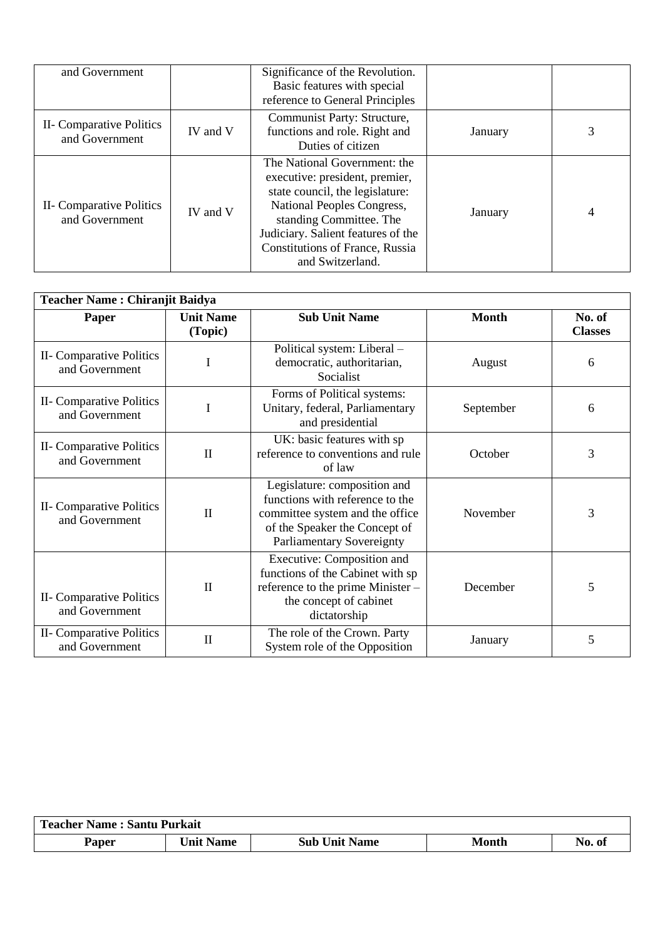| and Government                             |          | Significance of the Revolution.<br>Basic features with special<br>reference to General Principles                                                                                                                                                              |         |   |
|--------------------------------------------|----------|----------------------------------------------------------------------------------------------------------------------------------------------------------------------------------------------------------------------------------------------------------------|---------|---|
| II- Comparative Politics<br>and Government | IV and V | Communist Party: Structure,<br>functions and role. Right and<br>Duties of citizen                                                                                                                                                                              | January | 3 |
| II- Comparative Politics<br>and Government | IV and V | The National Government: the<br>executive: president, premier,<br>state council, the legislature:<br>National Peoples Congress,<br>standing Committee. The<br>Judiciary. Salient features of the<br><b>Constitutions of France, Russia</b><br>and Switzerland. | January | 4 |

| <b>Teacher Name: Chiranjit Baidya</b>      |                             |                                                                                                                                                                         |              |                          |  |
|--------------------------------------------|-----------------------------|-------------------------------------------------------------------------------------------------------------------------------------------------------------------------|--------------|--------------------------|--|
| <b>Paper</b>                               | <b>Unit Name</b><br>(Topic) | <b>Sub Unit Name</b>                                                                                                                                                    | <b>Month</b> | No. of<br><b>Classes</b> |  |
| II- Comparative Politics<br>and Government | T                           | Political system: Liberal -<br>democratic, authoritarian,<br>Socialist                                                                                                  | August       | 6                        |  |
| II- Comparative Politics<br>and Government | I                           | Forms of Political systems:<br>Unitary, federal, Parliamentary<br>and presidential                                                                                      | September    | 6                        |  |
| II- Comparative Politics<br>and Government | $\mathbf{I}$                | UK: basic features with sp<br>reference to conventions and rule<br>of law                                                                                               | October      | 3                        |  |
| II- Comparative Politics<br>and Government | $\mathbf{I}$                | Legislature: composition and<br>functions with reference to the<br>committee system and the office<br>of the Speaker the Concept of<br><b>Parliamentary Sovereignty</b> | November     | 3                        |  |
| II- Comparative Politics<br>and Government | $\mathbf{I}$                | Executive: Composition and<br>functions of the Cabinet with sp<br>reference to the prime Minister -<br>the concept of cabinet<br>dictatorship                           | December     | 5                        |  |
| II- Comparative Politics<br>and Government | $\mathbf{I}$                | The role of the Crown. Party<br>System role of the Opposition                                                                                                           | January      | 5                        |  |

| <b>Teacher Name: Santu Purkait</b> |                  |                      |       |        |  |
|------------------------------------|------------------|----------------------|-------|--------|--|
| Paper                              | <b>Unit Name</b> | <b>Sub Unit Name</b> | Month | N0. 01 |  |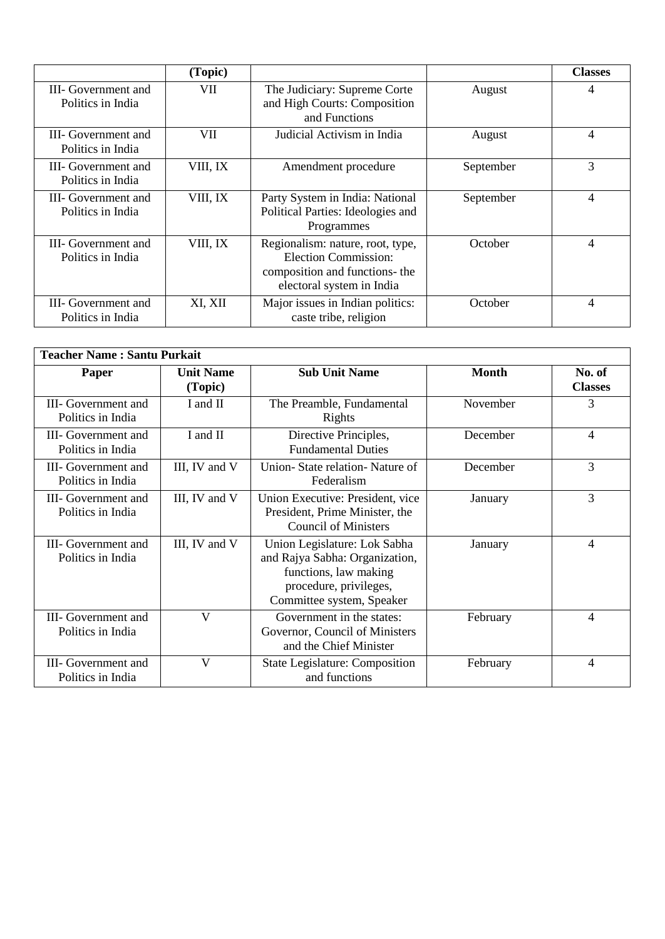|                                          | (Topic)  |                                                                                                                                |           | <b>Classes</b> |
|------------------------------------------|----------|--------------------------------------------------------------------------------------------------------------------------------|-----------|----------------|
| III- Government and<br>Politics in India | VII      | The Judiciary: Supreme Corte<br>and High Courts: Composition<br>and Functions                                                  | August    | 4              |
| III- Government and<br>Politics in India | VII.     | Judicial Activism in India                                                                                                     | August    | $\overline{4}$ |
| III- Government and<br>Politics in India | VIII, IX | Amendment procedure                                                                                                            | September | 3              |
| III- Government and<br>Politics in India | VIII, IX | Party System in India: National<br>Political Parties: Ideologies and<br>Programmes                                             | September | $\overline{4}$ |
| III- Government and<br>Politics in India | VIII, IX | Regionalism: nature, root, type,<br><b>Election Commission:</b><br>composition and functions- the<br>electoral system in India | October   | 4              |
| III- Government and<br>Politics in India | XI, XII  | Major issues in Indian politics:<br>caste tribe, religion                                                                      | October   | $\overline{4}$ |

| <b>Teacher Name: Santu Purkait</b>       |                             |                                                                                                                                                |              |                          |  |
|------------------------------------------|-----------------------------|------------------------------------------------------------------------------------------------------------------------------------------------|--------------|--------------------------|--|
| Paper                                    | <b>Unit Name</b><br>(Topic) | <b>Sub Unit Name</b>                                                                                                                           | <b>Month</b> | No. of<br><b>Classes</b> |  |
| III- Government and<br>Politics in India | I and II                    | The Preamble, Fundamental<br>Rights                                                                                                            | November     | 3                        |  |
| III- Government and<br>Politics in India | I and II                    | Directive Principles,<br><b>Fundamental Duties</b>                                                                                             | December     | $\overline{4}$           |  |
| III- Government and<br>Politics in India | III, IV and V               | Union-State relation-Nature of<br>Federalism                                                                                                   | December     | 3                        |  |
| III- Government and<br>Politics in India | III, IV and V               | Union Executive: President, vice<br>President, Prime Minister, the<br><b>Council of Ministers</b>                                              | January      | 3                        |  |
| III- Government and<br>Politics in India | III, IV and V               | Union Legislature: Lok Sabha<br>and Rajya Sabha: Organization,<br>functions, law making<br>procedure, privileges,<br>Committee system, Speaker | January      | $\overline{4}$           |  |
| III- Government and<br>Politics in India | $\mathbf{V}$                | Government in the states:<br>Governor, Council of Ministers<br>and the Chief Minister                                                          | February     | $\overline{4}$           |  |
| III- Government and<br>Politics in India | V                           | <b>State Legislature: Composition</b><br>and functions                                                                                         | February     | $\overline{4}$           |  |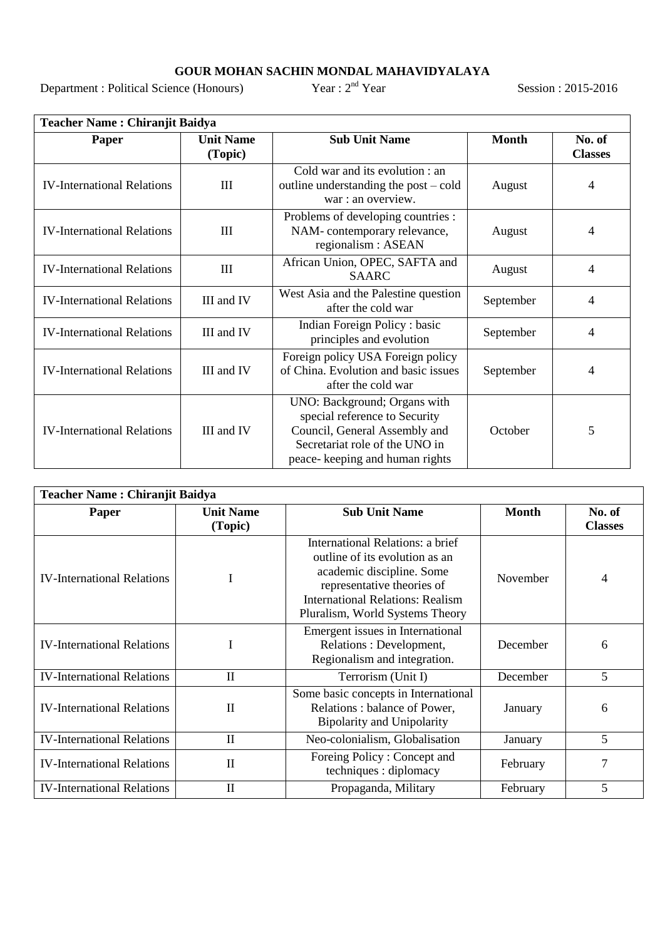#### **GOUR MOHAN SACHIN MONDAL MAHAVIDYALAYA**

Department : Political Science (Honours)

nd Year Session : 2015-2016

| <b>Teacher Name: Chiranjit Baidya</b> |                             |                                                                                                                                                                     |              |                          |  |  |
|---------------------------------------|-----------------------------|---------------------------------------------------------------------------------------------------------------------------------------------------------------------|--------------|--------------------------|--|--|
| Paper                                 | <b>Unit Name</b><br>(Topic) | <b>Sub Unit Name</b>                                                                                                                                                | <b>Month</b> | No. of<br><b>Classes</b> |  |  |
| <b>IV-International Relations</b>     | III                         | Cold war and its evolution : an<br>outline understanding the post – cold<br>war : an overview.                                                                      | August       | $\overline{4}$           |  |  |
| <b>IV-International Relations</b>     | III                         | Problems of developing countries :<br>NAM-contemporary relevance,<br>regionalism : ASEAN                                                                            | August       | $\overline{4}$           |  |  |
| <b>IV-International Relations</b>     | III                         | African Union, OPEC, SAFTA and<br><b>SAARC</b>                                                                                                                      | August       | $\overline{4}$           |  |  |
| <b>IV-International Relations</b>     | III and IV                  | West Asia and the Palestine question<br>after the cold war                                                                                                          | September    | $\overline{4}$           |  |  |
| <b>IV-International Relations</b>     | III and IV                  | Indian Foreign Policy: basic<br>principles and evolution                                                                                                            | September    | $\overline{4}$           |  |  |
| <b>IV-International Relations</b>     | III and IV                  | Foreign policy USA Foreign policy<br>of China. Evolution and basic issues<br>after the cold war                                                                     | September    | 4                        |  |  |
| <b>IV-International Relations</b>     | III and IV                  | UNO: Background; Organs with<br>special reference to Security<br>Council, General Assembly and<br>Secretariat role of the UNO in<br>peace- keeping and human rights | October      | 5                        |  |  |

| <b>Teacher Name: Chiranjit Baidya</b> |                             |                                                                                                                                                                                                             |              |                          |  |
|---------------------------------------|-----------------------------|-------------------------------------------------------------------------------------------------------------------------------------------------------------------------------------------------------------|--------------|--------------------------|--|
| Paper                                 | <b>Unit Name</b><br>(Topic) | <b>Sub Unit Name</b>                                                                                                                                                                                        | <b>Month</b> | No. of<br><b>Classes</b> |  |
| <b>IV-International Relations</b>     | I                           | International Relations: a brief<br>outline of its evolution as an<br>academic discipline. Some<br>representative theories of<br><b>International Relations: Realism</b><br>Pluralism, World Systems Theory | November     | 4                        |  |
| <b>IV-International Relations</b>     | I                           | Emergent issues in International<br>Relations : Development,<br>Regionalism and integration.                                                                                                                | December     | 6                        |  |
| <b>IV-International Relations</b>     | $\mathbf{I}$                | Terrorism (Unit I)                                                                                                                                                                                          | December     | 5                        |  |
| <b>IV-International Relations</b>     | $\mathbf{I}$                | Some basic concepts in International<br>Relations: balance of Power,<br><b>Bipolarity and Unipolarity</b>                                                                                                   | January      | 6                        |  |
| <b>IV-International Relations</b>     | $\rm II$                    | Neo-colonialism, Globalisation                                                                                                                                                                              | January      | 5                        |  |
| <b>IV-International Relations</b>     | $\mathbf{I}$                | Foreing Policy: Concept and<br>techniques : diplomacy                                                                                                                                                       | February     | 7                        |  |
| <b>IV-International Relations</b>     | $\mathbf{I}$                | Propaganda, Military                                                                                                                                                                                        | February     | 5                        |  |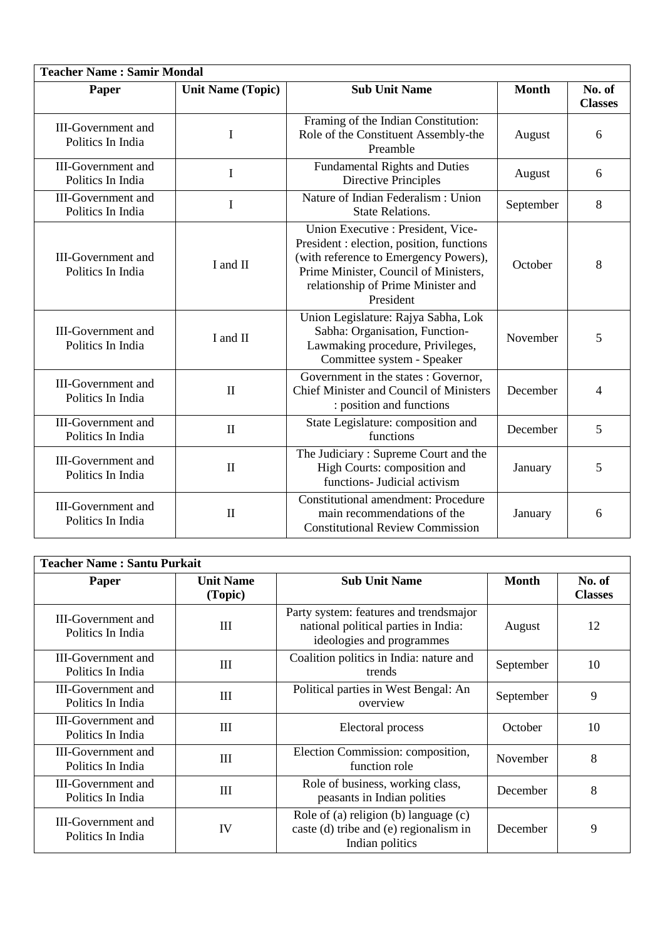| <b>Teacher Name: Samir Mondal</b>              |                          |                                                                                                                                                                                                                      |              |                          |  |  |
|------------------------------------------------|--------------------------|----------------------------------------------------------------------------------------------------------------------------------------------------------------------------------------------------------------------|--------------|--------------------------|--|--|
| Paper                                          | <b>Unit Name (Topic)</b> | <b>Sub Unit Name</b>                                                                                                                                                                                                 | <b>Month</b> | No. of<br><b>Classes</b> |  |  |
| <b>III-Government</b> and<br>Politics In India | $\mathbf I$              | Framing of the Indian Constitution:<br>Role of the Constituent Assembly-the<br>Preamble                                                                                                                              | August       | 6                        |  |  |
| <b>III-Government</b> and<br>Politics In India | $\mathbf I$              | <b>Fundamental Rights and Duties</b><br><b>Directive Principles</b>                                                                                                                                                  | August       | 6                        |  |  |
| <b>III-Government</b> and<br>Politics In India | I                        | Nature of Indian Federalism : Union<br><b>State Relations.</b>                                                                                                                                                       | September    | 8                        |  |  |
| <b>III-Government</b> and<br>Politics In India | I and II                 | Union Executive : President, Vice-<br>President : election, position, functions<br>(with reference to Emergency Powers),<br>Prime Minister, Council of Ministers,<br>relationship of Prime Minister and<br>President | October      | 8                        |  |  |
| <b>III-Government</b> and<br>Politics In India | I and II                 | Union Legislature: Rajya Sabha, Lok<br>Sabha: Organisation, Function-<br>Lawmaking procedure, Privileges,<br>Committee system - Speaker                                                                              | November     | 5                        |  |  |
| <b>III-Government</b> and<br>Politics In India | $\mathbf{I}$             | Government in the states : Governor,<br>Chief Minister and Council of Ministers<br>: position and functions                                                                                                          | December     | 4                        |  |  |
| <b>III-Government</b> and<br>Politics In India | $\mathbf{I}$             | State Legislature: composition and<br>functions                                                                                                                                                                      | December     | 5                        |  |  |
| <b>III-Government</b> and<br>Politics In India | $\mathbf{I}$             | The Judiciary: Supreme Court and the<br>High Courts: composition and<br>functions- Judicial activism                                                                                                                 | January      | 5                        |  |  |
| <b>III-Government</b> and<br>Politics In India | $\mathbf{I}$             | <b>Constitutional amendment: Procedure</b><br>main recommendations of the<br><b>Constitutional Review Commission</b>                                                                                                 | January      | 6                        |  |  |

| <b>Teacher Name: Santu Purkait</b>             |                             |                                                                                                             |              |                          |  |
|------------------------------------------------|-----------------------------|-------------------------------------------------------------------------------------------------------------|--------------|--------------------------|--|
| Paper                                          | <b>Unit Name</b><br>(Topic) | <b>Sub Unit Name</b>                                                                                        | <b>Month</b> | No. of<br><b>Classes</b> |  |
| <b>III-Government and</b><br>Politics In India | III                         | Party system: features and trendsmajor<br>national political parties in India:<br>ideologies and programmes | August       | 12                       |  |
| <b>III-Government</b> and<br>Politics In India | III                         | Coalition politics in India: nature and<br>trends                                                           | September    | 10                       |  |
| <b>III-Government and</b><br>Politics In India | III                         | Political parties in West Bengal: An<br>overview                                                            | September    | 9                        |  |
| <b>III-Government and</b><br>Politics In India | III                         | Electoral process                                                                                           | October      | 10                       |  |
| <b>III-Government and</b><br>Politics In India | III                         | Election Commission: composition,<br>function role                                                          | November     | 8                        |  |
| III-Government and<br>Politics In India        | III                         | Role of business, working class,<br>peasants in Indian polities                                             | December     | 8                        |  |
| III-Government and<br>Politics In India        | IV                          | Role of (a) religion (b) language (c)<br>caste (d) tribe and (e) regionalism in<br>Indian politics          | December     | 9                        |  |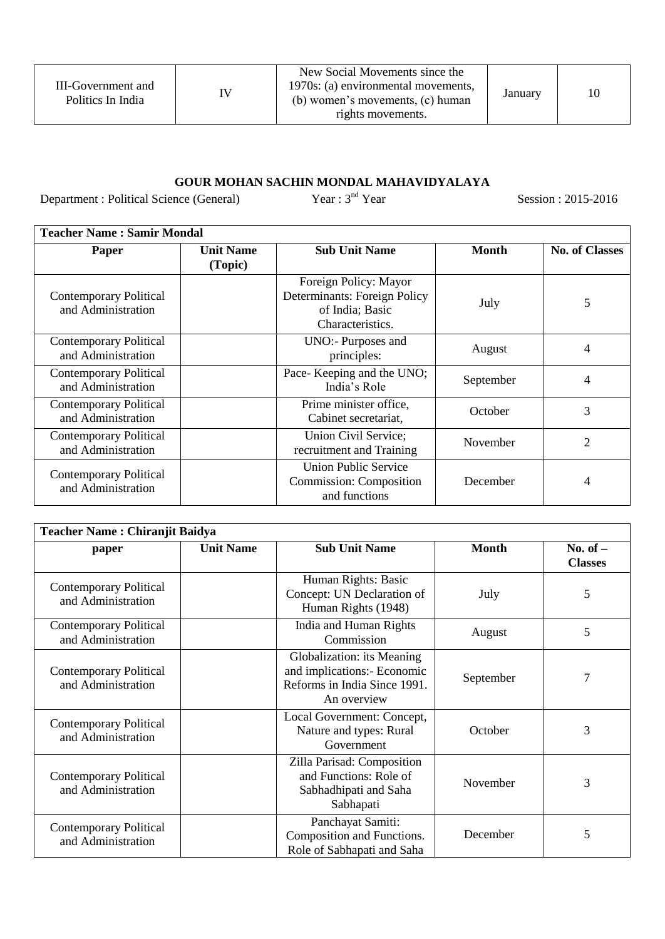| III-Government and<br>Politics In India | IV | New Social Movements since the<br>1970s: (a) environmental movements,<br>(b) women's movements, (c) human<br>rights movements. | January |  |
|-----------------------------------------|----|--------------------------------------------------------------------------------------------------------------------------------|---------|--|
|-----------------------------------------|----|--------------------------------------------------------------------------------------------------------------------------------|---------|--|

### **GOUR MOHAN SACHIN MONDAL MAHAVIDYALAYA**

Department : Political Science (General) Year : 3<sup>nd</sup> Year Session : 2015-2016

| <b>Teacher Name: Samir Mondal</b>                   |                             |                                                                                              |              |                       |  |
|-----------------------------------------------------|-----------------------------|----------------------------------------------------------------------------------------------|--------------|-----------------------|--|
| Paper                                               | <b>Unit Name</b><br>(Topic) | <b>Sub Unit Name</b>                                                                         | <b>Month</b> | <b>No. of Classes</b> |  |
| <b>Contemporary Political</b><br>and Administration |                             | Foreign Policy: Mayor<br>Determinants: Foreign Policy<br>of India; Basic<br>Characteristics. | July         | 5                     |  |
| <b>Contemporary Political</b><br>and Administration |                             | UNO:- Purposes and<br>principles:                                                            | August       | 4                     |  |
| <b>Contemporary Political</b><br>and Administration |                             | Pace-Keeping and the UNO;<br>India's Role                                                    | September    | 4                     |  |
| <b>Contemporary Political</b><br>and Administration |                             | Prime minister office,<br>Cabinet secretariat,                                               | October      | 3                     |  |
| <b>Contemporary Political</b><br>and Administration |                             | Union Civil Service;<br>recruitment and Training                                             | November     | $\overline{2}$        |  |
| <b>Contemporary Political</b><br>and Administration |                             | <b>Union Public Service</b><br><b>Commission: Composition</b><br>and functions               | December     | 4                     |  |

| <b>Teacher Name: Chiranjit Baidya</b>               |                  |                                                                                                          |              |                              |  |
|-----------------------------------------------------|------------------|----------------------------------------------------------------------------------------------------------|--------------|------------------------------|--|
| paper                                               | <b>Unit Name</b> | <b>Sub Unit Name</b>                                                                                     | <b>Month</b> | No. of $-$<br><b>Classes</b> |  |
| <b>Contemporary Political</b><br>and Administration |                  | Human Rights: Basic<br>Concept: UN Declaration of<br>Human Rights (1948)                                 | July         | 5                            |  |
| <b>Contemporary Political</b><br>and Administration |                  | India and Human Rights<br>Commission                                                                     | August       | 5                            |  |
| <b>Contemporary Political</b><br>and Administration |                  | Globalization: its Meaning<br>and implications:- Economic<br>Reforms in India Since 1991.<br>An overview | September    |                              |  |
| <b>Contemporary Political</b><br>and Administration |                  | Local Government: Concept,<br>Nature and types: Rural<br>Government                                      | October      | 3                            |  |
| <b>Contemporary Political</b><br>and Administration |                  | Zilla Parisad: Composition<br>and Functions: Role of<br>Sabhadhipati and Saha<br>Sabhapati               | November     | 3                            |  |
| <b>Contemporary Political</b><br>and Administration |                  | Panchayat Samiti:<br>Composition and Functions.<br>Role of Sabhapati and Saha                            | December     | 5                            |  |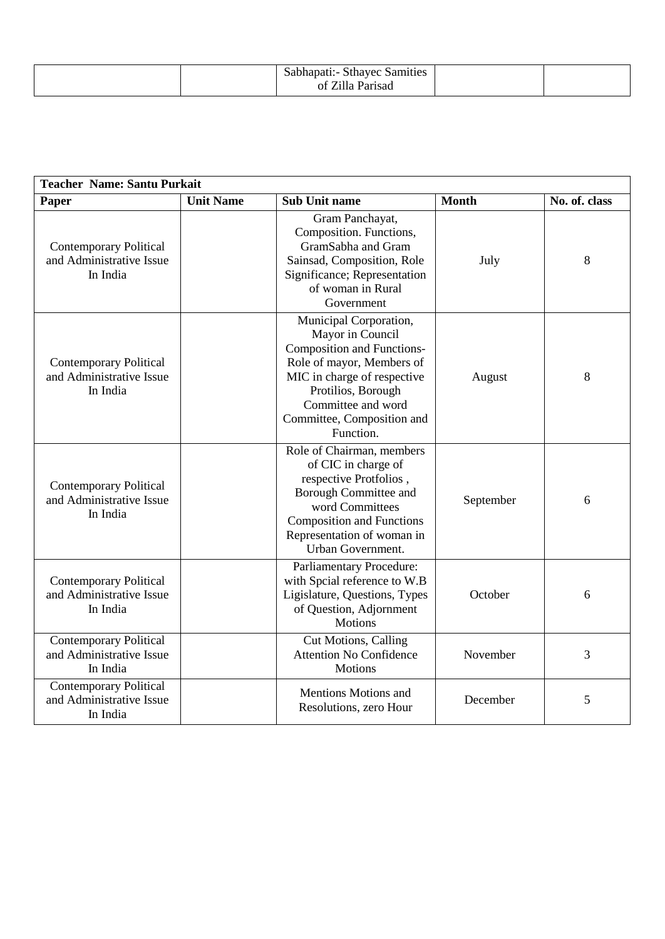| Samities<br>ໍດະ<br>Sthavec<br>Nadhadah .<br>-- |  |
|------------------------------------------------|--|
| Parisad<br>Ωt<br>1112                          |  |

| <b>Teacher Name: Santu Purkait</b>                                    |                  |                                                                                                                                                                                                                                    |              |               |  |
|-----------------------------------------------------------------------|------------------|------------------------------------------------------------------------------------------------------------------------------------------------------------------------------------------------------------------------------------|--------------|---------------|--|
| Paper                                                                 | <b>Unit Name</b> | <b>Sub Unit name</b>                                                                                                                                                                                                               | <b>Month</b> | No. of. class |  |
| <b>Contemporary Political</b><br>and Administrative Issue<br>In India |                  | Gram Panchayat,<br>Composition. Functions,<br>GramSabha and Gram<br>Sainsad, Composition, Role<br>Significance; Representation<br>of woman in Rural<br>Government                                                                  | July         | 8             |  |
| <b>Contemporary Political</b><br>and Administrative Issue<br>In India |                  | Municipal Corporation,<br>Mayor in Council<br><b>Composition and Functions-</b><br>Role of mayor, Members of<br>MIC in charge of respective<br>Protilios, Borough<br>Committee and word<br>Committee, Composition and<br>Function. | August       | 8             |  |
| <b>Contemporary Political</b><br>and Administrative Issue<br>In India |                  | Role of Chairman, members<br>of CIC in charge of<br>respective Protfolios,<br>Borough Committee and<br>word Committees<br><b>Composition and Functions</b><br>Representation of woman in<br>Urban Government.                      | September    | 6             |  |
| <b>Contemporary Political</b><br>and Administrative Issue<br>In India |                  | <b>Parliamentary Procedure:</b><br>with Spcial reference to W.B<br>Ligislature, Questions, Types<br>of Question, Adjornment<br><b>Motions</b>                                                                                      | October      | 6             |  |
| <b>Contemporary Political</b><br>and Administrative Issue<br>In India |                  | Cut Motions, Calling<br><b>Attention No Confidence</b><br><b>Motions</b>                                                                                                                                                           | November     | 3             |  |
| <b>Contemporary Political</b><br>and Administrative Issue<br>In India |                  | <b>Mentions Motions and</b><br>Resolutions, zero Hour                                                                                                                                                                              | December     | 5             |  |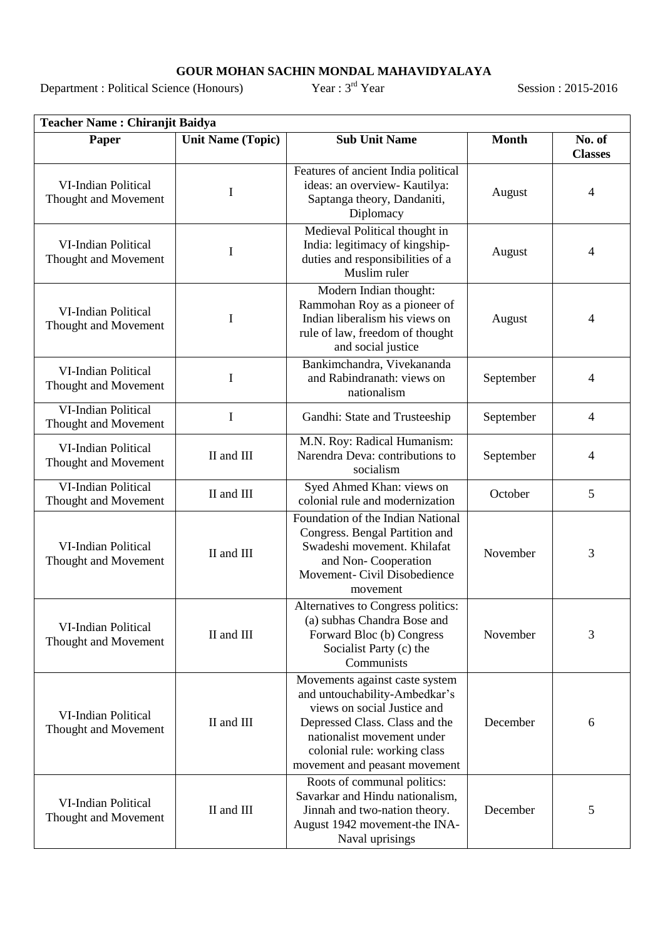#### **GOUR MOHAN SACHIN MONDAL MAHAVIDYALAYA**

Department : Political Science (Honours)

rd Year Session : 2015-2016

|                                                    | <b>Teacher Name: Chiranjit Baidya</b> |                                                                                                                                                                                                                                 |              |                          |  |  |
|----------------------------------------------------|---------------------------------------|---------------------------------------------------------------------------------------------------------------------------------------------------------------------------------------------------------------------------------|--------------|--------------------------|--|--|
| Paper                                              | <b>Unit Name (Topic)</b>              | <b>Sub Unit Name</b>                                                                                                                                                                                                            | <b>Month</b> | No. of<br><b>Classes</b> |  |  |
| <b>VI-Indian Political</b><br>Thought and Movement | I                                     | Features of ancient India political<br>ideas: an overview- Kautilya:<br>Saptanga theory, Dandaniti,<br>Diplomacy                                                                                                                | August       | 4                        |  |  |
| <b>VI-Indian Political</b><br>Thought and Movement | I                                     | Medieval Political thought in<br>India: legitimacy of kingship-<br>duties and responsibilities of a<br>Muslim ruler                                                                                                             | August       | 4                        |  |  |
| <b>VI-Indian Political</b><br>Thought and Movement | I                                     | Modern Indian thought:<br>Rammohan Roy as a pioneer of<br>Indian liberalism his views on<br>rule of law, freedom of thought<br>and social justice                                                                               | August       | 4                        |  |  |
| <b>VI-Indian Political</b><br>Thought and Movement | I                                     | Bankimchandra, Vivekananda<br>and Rabindranath: views on<br>nationalism                                                                                                                                                         | September    | 4                        |  |  |
| <b>VI-Indian Political</b><br>Thought and Movement | $\mathbf I$                           | Gandhi: State and Trusteeship                                                                                                                                                                                                   | September    | 4                        |  |  |
| <b>VI-Indian Political</b><br>Thought and Movement | II and III                            | M.N. Roy: Radical Humanism:<br>Narendra Deva: contributions to<br>socialism                                                                                                                                                     | September    | 4                        |  |  |
| VI-Indian Political<br>Thought and Movement        | II and III                            | Syed Ahmed Khan: views on<br>colonial rule and modernization                                                                                                                                                                    | October      | 5                        |  |  |
| VI-Indian Political<br>Thought and Movement        | II and III                            | Foundation of the Indian National<br>Congress. Bengal Partition and<br>Swadeshi movement. Khilafat<br>and Non-Cooperation<br>Movement- Civil Disobedience<br>movement                                                           | November     | 3                        |  |  |
| VI-Indian Political<br>Thought and Movement        | II and III                            | Alternatives to Congress politics:<br>(a) subhas Chandra Bose and<br>Forward Bloc (b) Congress<br>Socialist Party (c) the<br>Communists                                                                                         | November     | 3                        |  |  |
| <b>VI-Indian Political</b><br>Thought and Movement | II and III                            | Movements against caste system<br>and untouchability-Ambedkar's<br>views on social Justice and<br>Depressed Class. Class and the<br>nationalist movement under<br>colonial rule: working class<br>movement and peasant movement | December     | 6                        |  |  |
| <b>VI-Indian Political</b><br>Thought and Movement | II and III                            | Roots of communal politics:<br>Savarkar and Hindu nationalism,<br>Jinnah and two-nation theory.<br>August 1942 movement-the INA-<br>Naval uprisings                                                                             | December     | 5                        |  |  |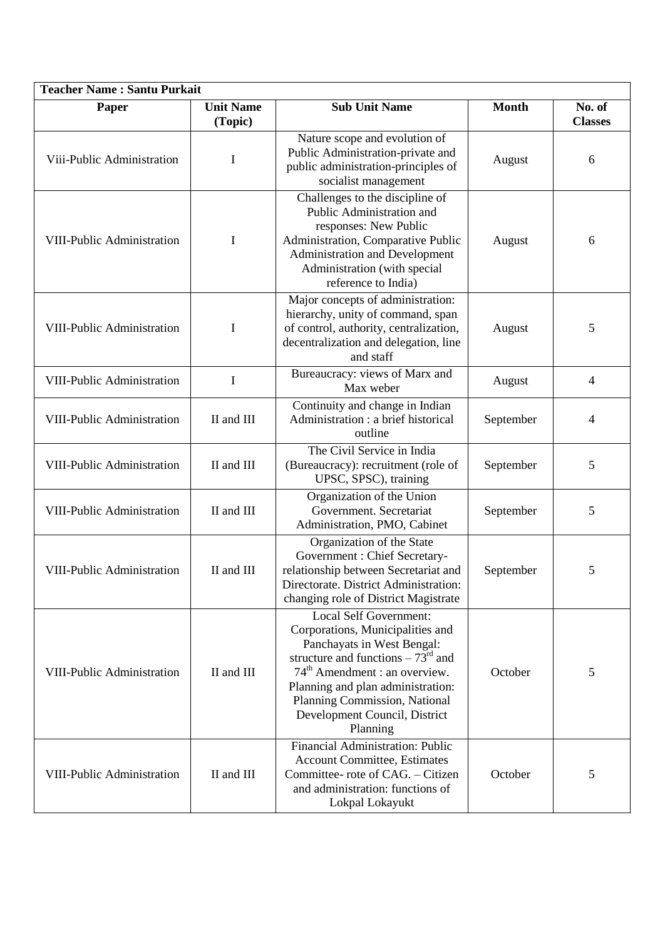| <b>Teacher Name: Santu Purkait</b> |                             |                                                                                                                                                                                                                                                                                                                  |              |                          |  |
|------------------------------------|-----------------------------|------------------------------------------------------------------------------------------------------------------------------------------------------------------------------------------------------------------------------------------------------------------------------------------------------------------|--------------|--------------------------|--|
| Paper                              | <b>Unit Name</b><br>(Topic) | <b>Sub Unit Name</b>                                                                                                                                                                                                                                                                                             | <b>Month</b> | No. of<br><b>Classes</b> |  |
| Viii-Public Administration         | I                           | Nature scope and evolution of<br>Public Administration-private and<br>public administration-principles of<br>socialist management                                                                                                                                                                                | August       | 6                        |  |
| <b>VIII-Public Administration</b>  | I                           | Challenges to the discipline of<br>Public Administration and<br>responses: New Public<br>Administration, Comparative Public<br>Administration and Development<br>Administration (with special<br>reference to India)                                                                                             | August       | 6                        |  |
| VIII-Public Administration         | I                           | Major concepts of administration:<br>hierarchy, unity of command, span<br>of control, authority, centralization,<br>decentralization and delegation, line<br>and staff                                                                                                                                           | August       | 5                        |  |
| <b>VIII-Public Administration</b>  | I                           | Bureaucracy: views of Marx and<br>Max weber                                                                                                                                                                                                                                                                      | August       | $\overline{4}$           |  |
| VIII-Public Administration         | II and III                  | Continuity and change in Indian<br>Administration : a brief historical<br>outline                                                                                                                                                                                                                                | September    | 4                        |  |
| <b>VIII-Public Administration</b>  | II and III                  | The Civil Service in India<br>(Bureaucracy): recruitment (role of<br>UPSC, SPSC), training                                                                                                                                                                                                                       | September    | 5                        |  |
| VIII-Public Administration         | II and III                  | Organization of the Union<br>Government. Secretariat<br>Administration, PMO, Cabinet                                                                                                                                                                                                                             | September    | 5                        |  |
| <b>VIII-Public Administration</b>  | II and III                  | Organization of the State<br>Government : Chief Secretary-<br>relationship between Secretariat and<br>Directorate. District Administration:<br>changing role of District Magistrate                                                                                                                              | September    | 5                        |  |
| <b>VIII-Public Administration</b>  | II and III                  | <b>Local Self Government:</b><br>Corporations, Municipalities and<br>Panchayats in West Bengal:<br>structure and functions $-73^{\text{rd}}$ and<br>74 <sup>th</sup> Amendment : an overview.<br>Planning and plan administration:<br>Planning Commission, National<br>Development Council, District<br>Planning | October      | 5                        |  |
| <b>VIII-Public Administration</b>  | II and III                  | Financial Administration: Public<br><b>Account Committee, Estimates</b><br>Committee- rote of CAG. - Citizen<br>and administration: functions of<br>Lokpal Lokayukt                                                                                                                                              | October      | 5                        |  |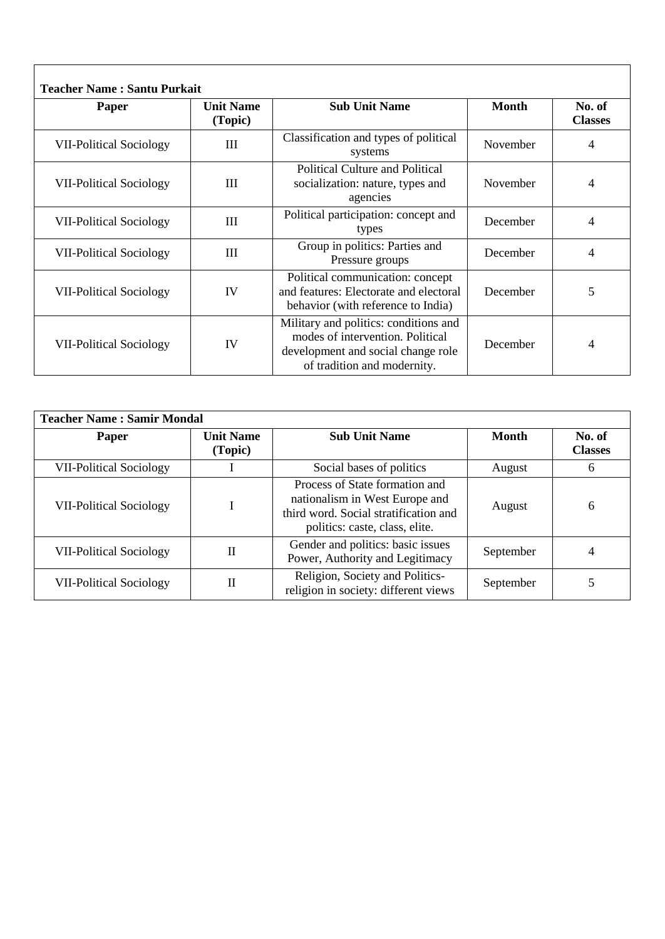| Paper                          | <b>Teacher Name: Santu Purkait</b><br><b>Unit Name</b><br>(Topic) | <b>Sub Unit Name</b>                                                                                                                           | <b>Month</b> | No. of<br><b>Classes</b> |
|--------------------------------|-------------------------------------------------------------------|------------------------------------------------------------------------------------------------------------------------------------------------|--------------|--------------------------|
| <b>VII-Political Sociology</b> | III                                                               | Classification and types of political<br>systems                                                                                               | November     | 4                        |
| <b>VII-Political Sociology</b> | Ш                                                                 | <b>Political Culture and Political</b><br>socialization: nature, types and<br>agencies                                                         | November     | 4                        |
| <b>VII-Political Sociology</b> | Ш                                                                 | Political participation: concept and<br>types                                                                                                  | December     | 4                        |
| <b>VII-Political Sociology</b> | Ш                                                                 | Group in politics: Parties and<br>Pressure groups                                                                                              | December     | 4                        |
| <b>VII-Political Sociology</b> | IV                                                                | Political communication: concept<br>and features: Electorate and electoral<br>behavior (with reference to India)                               | December     | 5                        |
| <b>VII-Political Sociology</b> | IV                                                                | Military and politics: conditions and<br>modes of intervention. Political<br>development and social change role<br>of tradition and modernity. | December     | 4                        |

| <b>Teacher Name: Samir Mondal</b> |                             |                                                                                                                                             |              |                          |
|-----------------------------------|-----------------------------|---------------------------------------------------------------------------------------------------------------------------------------------|--------------|--------------------------|
| Paper                             | <b>Unit Name</b><br>(Topic) | <b>Sub Unit Name</b>                                                                                                                        | <b>Month</b> | No. of<br><b>Classes</b> |
| <b>VII-Political Sociology</b>    |                             | Social bases of politics                                                                                                                    | August       | 6                        |
| <b>VII-Political Sociology</b>    |                             | Process of State formation and<br>nationalism in West Europe and<br>third word. Social stratification and<br>politics: caste, class, elite. | August       | 6                        |
| <b>VII-Political Sociology</b>    | П                           | Gender and politics: basic issues<br>Power, Authority and Legitimacy                                                                        | September    | 4                        |
| <b>VII-Political Sociology</b>    | П                           | Religion, Society and Politics-<br>religion in society: different views                                                                     | September    |                          |